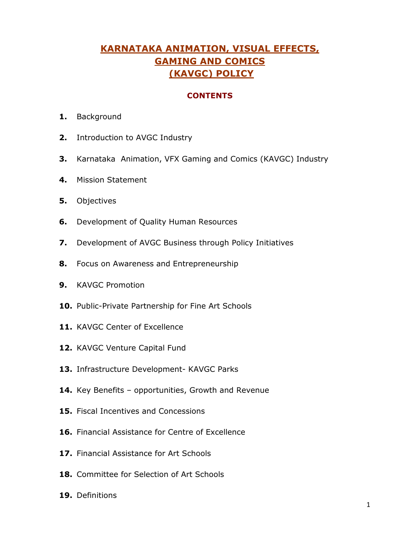# **KARNATAKA ANIMATION, VISUAL EFFECTS, GAMING AND COMICS (KAVGC) POLICY**

#### **CONTENTS**

- **1.** Background
- **2.** Introduction to AVGC Industry
- **3.** Karnataka Animation, VFX Gaming and Comics (KAVGC) Industry
- **4.** Mission Statement
- **5.** Objectives
- **6.** Development of Quality Human Resources
- **7.** Development of AVGC Business through Policy Initiatives
- **8.** Focus on Awareness and Entrepreneurship
- **9.** KAVGC Promotion
- **10.** Public-Private Partnership for Fine Art Schools
- **11.** KAVGC Center of Excellence
- **12.** KAVGC Venture Capital Fund
- **13.** Infrastructure Development- KAVGC Parks
- **14.** Key Benefits opportunities, Growth and Revenue
- **15.** Fiscal Incentives and Concessions
- **16.** Financial Assistance for Centre of Excellence
- **17.** Financial Assistance for Art Schools
- **18.** Committee for Selection of Art Schools
- **19.** Definitions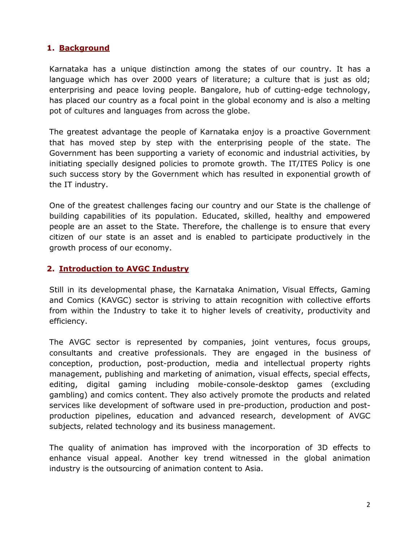### **1. Background**

Karnataka has a unique distinction among the states of our country. It has a language which has over 2000 years of literature; a culture that is just as old; enterprising and peace loving people. Bangalore, hub of cutting-edge technology, has placed our country as a focal point in the global economy and is also a melting pot of cultures and languages from across the globe.

The greatest advantage the people of Karnataka enjoy is a proactive Government that has moved step by step with the enterprising people of the state. The Government has been supporting a variety of economic and industrial activities, by initiating specially designed policies to promote growth. The IT/ITES Policy is one such success story by the Government which has resulted in exponential growth of the IT industry.

One of the greatest challenges facing our country and our State is the challenge of building capabilities of its population. Educated, skilled, healthy and empowered people are an asset to the State. Therefore, the challenge is to ensure that every citizen of our state is an asset and is enabled to participate productively in the growth process of our economy.

#### **2. Introduction to AVGC Industry**

Still in its developmental phase, the Karnataka Animation, Visual Effects, Gaming and Comics (KAVGC) sector is striving to attain recognition with collective efforts from within the Industry to take it to higher levels of creativity, productivity and efficiency.

The AVGC sector is represented by companies, joint ventures, focus groups, consultants and creative professionals. They are engaged in the business of conception, production, post-production, media and intellectual property rights management, publishing and marketing of animation, visual effects, special effects, editing, digital gaming including mobile-console-desktop games (excluding gambling) and comics content. They also actively promote the products and related services like development of software used in pre-production, production and postproduction pipelines, education and advanced research, development of AVGC subjects, related technology and its business management.

The quality of animation has improved with the incorporation of 3D effects to enhance visual appeal. Another key trend witnessed in the global animation industry is the outsourcing of animation content to Asia.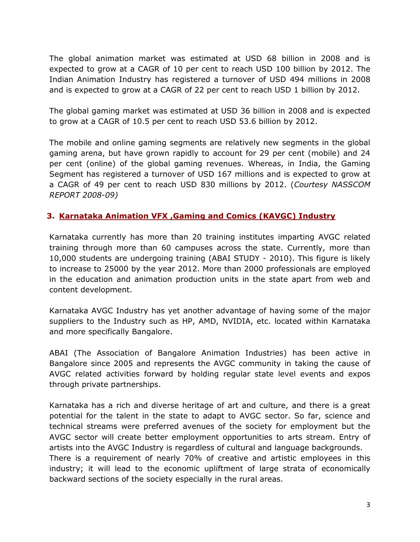The global animation market was estimated at USD 68 billion in 2008 and is expected to grow at a CAGR of 10 per cent to reach USD 100 billion by 2012. The Indian Animation Industry has registered a turnover of USD 494 millions in 2008 and is expected to grow at a CAGR of 22 per cent to reach USD 1 billion by 2012.

The global gaming market was estimated at USD 36 billion in 2008 and is expected to grow at a CAGR of 10.5 per cent to reach USD 53.6 billion by 2012.

The mobile and online gaming segments are relatively new segments in the global gaming arena, but have grown rapidly to account for 29 per cent (mobile) and 24 per cent (online) of the global gaming revenues. Whereas, in India, the Gaming Segment has registered a turnover of USD 167 millions and is expected to grow at a CAGR of 49 per cent to reach USD 830 millions by 2012. (*Courtesy NASSCOM REPORT 2008-09)*

# **3. Karnataka Animation VFX ,Gaming and Comics (KAVGC) Industry**

Karnataka currently has more than 20 training institutes imparting AVGC related training through more than 60 campuses across the state. Currently, more than 10,000 students are undergoing training (ABAI STUDY - 2010). This figure is likely to increase to 25000 by the year 2012. More than 2000 professionals are employed in the education and animation production units in the state apart from web and content development.

Karnataka AVGC Industry has yet another advantage of having some of the major suppliers to the Industry such as HP, AMD, NVIDIA, etc. located within Karnataka and more specifically Bangalore.

ABAI (The Association of Bangalore Animation Industries) has been active in Bangalore since 2005 and represents the AVGC community in taking the cause of AVGC related activities forward by holding regular state level events and expos through private partnerships.

Karnataka has a rich and diverse heritage of art and culture, and there is a great potential for the talent in the state to adapt to AVGC sector. So far, science and technical streams were preferred avenues of the society for employment but the AVGC sector will create better employment opportunities to arts stream. Entry of artists into the AVGC Industry is regardless of cultural and language backgrounds.

There is a requirement of nearly 70% of creative and artistic employees in this industry; it will lead to the economic upliftment of large strata of economically backward sections of the society especially in the rural areas.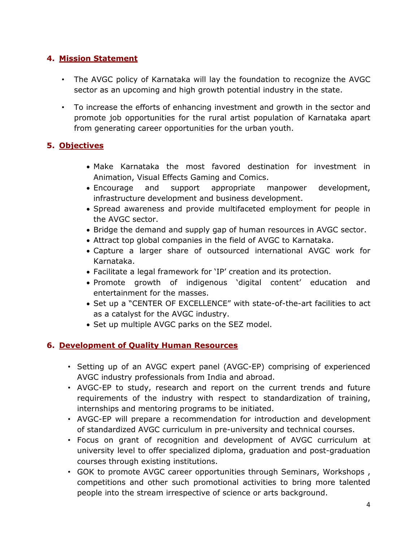# **4. Mission Statement**

- The AVGC policy of Karnataka will lay the foundation to recognize the AVGC sector as an upcoming and high growth potential industry in the state.
- To increase the efforts of enhancing investment and growth in the sector and promote job opportunities for the rural artist population of Karnataka apart from generating career opportunities for the urban youth.

# **5. Objectives**

- Make Karnataka the most favored destination for investment in Animation, Visual Effects Gaming and Comics.
- Encourage and support appropriate manpower development, infrastructure development and business development.
- Spread awareness and provide multifaceted employment for people in the AVGC sector.
- Bridge the demand and supply gap of human resources in AVGC sector.
- Attract top global companies in the field of AVGC to Karnataka.
- Capture a larger share of outsourced international AVGC work for Karnataka.
- Facilitate a legal framework for 'IP' creation and its protection.
- Promote growth of indigenous 'digital content' education and entertainment for the masses.
- Set up a "CENTER OF EXCELLENCE" with state-of-the-art facilities to act as a catalyst for the AVGC industry.
- Set up multiple AVGC parks on the SEZ model.

# **6. Development of Quality Human Resources**

- Setting up of an AVGC expert panel (AVGC-EP) comprising of experienced AVGC industry professionals from India and abroad.
- AVGC-EP to study, research and report on the current trends and future requirements of the industry with respect to standardization of training, internships and mentoring programs to be initiated.
- AVGC-EP will prepare a recommendation for introduction and development of standardized AVGC curriculum in pre-university and technical courses.
- Focus on grant of recognition and development of AVGC curriculum at university level to offer specialized diploma, graduation and post-graduation courses through existing institutions.
- GOK to promote AVGC career opportunities through Seminars, Workshops , competitions and other such promotional activities to bring more talented people into the stream irrespective of science or arts background.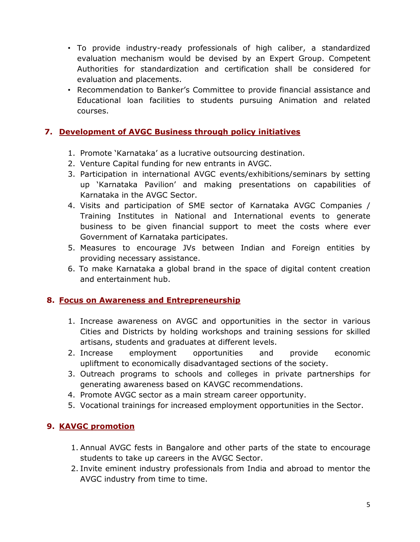- To provide industry-ready professionals of high caliber, a standardized evaluation mechanism would be devised by an Expert Group. Competent Authorities for standardization and certification shall be considered for evaluation and placements.
- Recommendation to Banker's Committee to provide financial assistance and Educational loan facilities to students pursuing Animation and related courses.

# **7. Development of AVGC Business through policy initiatives**

- 1. Promote 'Karnataka' as a lucrative outsourcing destination.
- 2. Venture Capital funding for new entrants in AVGC.
- 3. Participation in international AVGC events/exhibitions/seminars by setting up 'Karnataka Pavilion' and making presentations on capabilities of Karnataka in the AVGC Sector.
- 4. Visits and participation of SME sector of Karnataka AVGC Companies / Training Institutes in National and International events to generate business to be given financial support to meet the costs where ever Government of Karnataka participates.
- 5. Measures to encourage JVs between Indian and Foreign entities by providing necessary assistance.
- 6. To make Karnataka a global brand in the space of digital content creation and entertainment hub.

#### **8. Focus on Awareness and Entrepreneurship**

- 1. Increase awareness on AVGC and opportunities in the sector in various Cities and Districts by holding workshops and training sessions for skilled artisans, students and graduates at different levels.
- 2. Increase employment opportunities and provide economic upliftment to economically disadvantaged sections of the society.
- 3. Outreach programs to schools and colleges in private partnerships for generating awareness based on KAVGC recommendations.
- 4. Promote AVGC sector as a main stream career opportunity.
- 5. Vocational trainings for increased employment opportunities in the Sector.

# **9. KAVGC promotion**

- 1. Annual AVGC fests in Bangalore and other parts of the state to encourage students to take up careers in the AVGC Sector.
- 2. Invite eminent industry professionals from India and abroad to mentor the AVGC industry from time to time.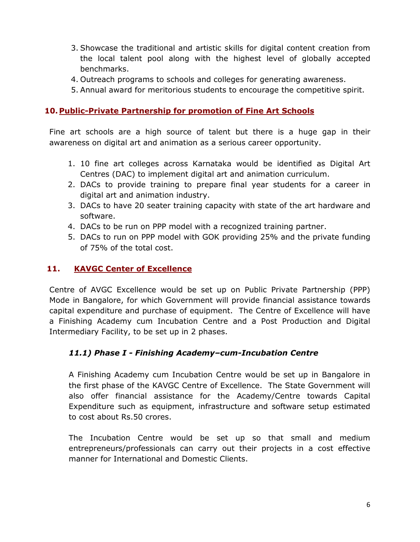- 3. Showcase the traditional and artistic skills for digital content creation from the local talent pool along with the highest level of globally accepted benchmarks.
- 4. Outreach programs to schools and colleges for generating awareness.
- 5. Annual award for meritorious students to encourage the competitive spirit.

### **10. Public-Private Partnership for promotion of Fine Art Schools**

Fine art schools are a high source of talent but there is a huge gap in their awareness on digital art and animation as a serious career opportunity.

- 1. 10 fine art colleges across Karnataka would be identified as Digital Art Centres (DAC) to implement digital art and animation curriculum.
- 2. DACs to provide training to prepare final year students for a career in digital art and animation industry.
- 3. DACs to have 20 seater training capacity with state of the art hardware and software.
- 4. DACs to be run on PPP model with a recognized training partner.
- 5. DACs to run on PPP model with GOK providing 25% and the private funding of 75% of the total cost.

# **11. KAVGC Center of Excellence**

Centre of AVGC Excellence would be set up on Public Private Partnership (PPP) Mode in Bangalore, for which Government will provide financial assistance towards capital expenditure and purchase of equipment. The Centre of Excellence will have a Finishing Academy cum Incubation Centre and a Post Production and Digital Intermediary Facility, to be set up in 2 phases.

# *11.1) Phase I - Finishing Academy–cum-Incubation Centre*

A Finishing Academy cum Incubation Centre would be set up in Bangalore in the first phase of the KAVGC Centre of Excellence. The State Government will also offer financial assistance for the Academy/Centre towards Capital Expenditure such as equipment, infrastructure and software setup estimated to cost about Rs.50 crores.

The Incubation Centre would be set up so that small and medium entrepreneurs/professionals can carry out their projects in a cost effective manner for International and Domestic Clients.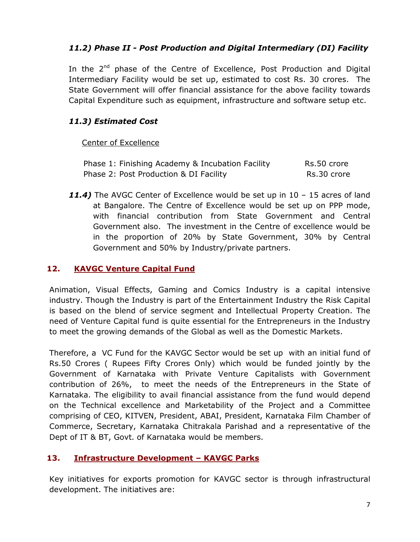# *11.2) Phase II - Post Production and Digital Intermediary (DI) Facility*

In the 2<sup>nd</sup> phase of the Centre of Excellence, Post Production and Digital Intermediary Facility would be set up, estimated to cost Rs. 30 crores. The State Government will offer financial assistance for the above facility towards Capital Expenditure such as equipment, infrastructure and software setup etc.

# *11.3) Estimated Cost*

#### Center of Excellence

| Phase 1: Finishing Academy & Incubation Facility | Rs.50 crore |
|--------------------------------------------------|-------------|
| Phase 2: Post Production & DI Facility           | Rs.30 crore |

*11.4)* The AVGC Center of Excellence would be set up in 10 – 15 acres of land at Bangalore. The Centre of Excellence would be set up on PPP mode, with financial contribution from State Government and Central Government also. The investment in the Centre of excellence would be in the proportion of 20% by State Government, 30% by Central Government and 50% by Industry/private partners.

# **12. KAVGC Venture Capital Fund**

Animation, Visual Effects, Gaming and Comics Industry is a capital intensive industry. Though the Industry is part of the Entertainment Industry the Risk Capital is based on the blend of service segment and Intellectual Property Creation. The need of Venture Capital fund is quite essential for the Entrepreneurs in the Industry to meet the growing demands of the Global as well as the Domestic Markets.

Therefore, a VC Fund for the KAVGC Sector would be set up with an initial fund of Rs.50 Crores ( Rupees Fifty Crores Only) which would be funded jointly by the Government of Karnataka with Private Venture Capitalists with Government contribution of 26%, to meet the needs of the Entrepreneurs in the State of Karnataka. The eligibility to avail financial assistance from the fund would depend on the Technical excellence and Marketability of the Project and a Committee comprising of CEO, KITVEN, President, ABAI, President, Karnataka Film Chamber of Commerce, Secretary, Karnataka Chitrakala Parishad and a representative of the Dept of IT & BT, Govt. of Karnataka would be members.

# **13. Infrastructure Development – KAVGC Parks**

Key initiatives for exports promotion for KAVGC sector is through infrastructural development. The initiatives are: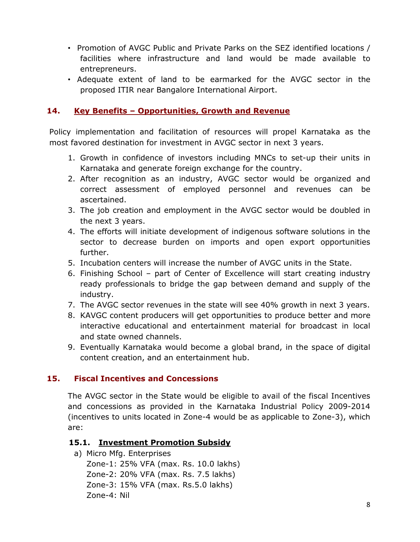- Promotion of AVGC Public and Private Parks on the SEZ identified locations / facilities where infrastructure and land would be made available to entrepreneurs.
- Adequate extent of land to be earmarked for the AVGC sector in the proposed ITIR near Bangalore International Airport.

### **14. Key Benefits – Opportunities, Growth and Revenue**

Policy implementation and facilitation of resources will propel Karnataka as the most favored destination for investment in AVGC sector in next 3 years.

- 1. Growth in confidence of investors including MNCs to set-up their units in Karnataka and generate foreign exchange for the country.
- 2. After recognition as an industry, AVGC sector would be organized and correct assessment of employed personnel and revenues can be ascertained.
- 3. The job creation and employment in the AVGC sector would be doubled in the next 3 years.
- 4. The efforts will initiate development of indigenous software solutions in the sector to decrease burden on imports and open export opportunities further.
- 5. Incubation centers will increase the number of AVGC units in the State.
- 6. Finishing School part of Center of Excellence will start creating industry ready professionals to bridge the gap between demand and supply of the industry.
- 7. The AVGC sector revenues in the state will see 40% growth in next 3 years.
- 8. KAVGC content producers will get opportunities to produce better and more interactive educational and entertainment material for broadcast in local and state owned channels.
- 9. Eventually Karnataka would become a global brand, in the space of digital content creation, and an entertainment hub.

# **15. Fiscal Incentives and Concessions**

The AVGC sector in the State would be eligible to avail of the fiscal Incentives and concessions as provided in the Karnataka Industrial Policy 2009-2014 (incentives to units located in Zone-4 would be as applicable to Zone-3), which are:

#### **15.1. Investment Promotion Subsidy**

a) Micro Mfg. Enterprises

Zone-1: 25% VFA (max. Rs. 10.0 lakhs) Zone-2: 20% VFA (max. Rs. 7.5 lakhs) Zone-3: 15% VFA (max. Rs.5.0 lakhs) Zone-4: Nil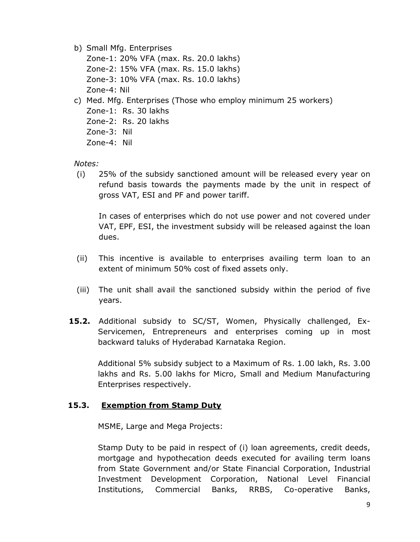b) Small Mfg. Enterprises

Zone-1: 20% VFA (max. Rs. 20.0 lakhs) Zone-2: 15% VFA (max. Rs. 15.0 lakhs) Zone-3: 10% VFA (max. Rs. 10.0 lakhs) Zone-4: Nil

- c) Med. Mfg. Enterprises (Those who employ minimum 25 workers)
	- Zone-1: Rs. 30 lakhs
	- Zone-2: Rs. 20 lakhs
	- Zone-3: Nil
	- Zone-4: Nil

#### *Notes:*

(i) 25% of the subsidy sanctioned amount will be released every year on refund basis towards the payments made by the unit in respect of gross VAT, ESI and PF and power tariff.

In cases of enterprises which do not use power and not covered under VAT, EPF, ESI, the investment subsidy will be released against the loan dues.

- (ii) This incentive is available to enterprises availing term loan to an extent of minimum 50% cost of fixed assets only.
- (iii) The unit shall avail the sanctioned subsidy within the period of five years.
- **15.2.** Additional subsidy to SC/ST, Women, Physically challenged, Ex-Servicemen, Entrepreneurs and enterprises coming up in most backward taluks of Hyderabad Karnataka Region.

Additional 5% subsidy subject to a Maximum of Rs. 1.00 lakh, Rs. 3.00 lakhs and Rs. 5.00 lakhs for Micro, Small and Medium Manufacturing Enterprises respectively.

# **15.3. Exemption from Stamp Duty**

MSME, Large and Mega Projects:

Stamp Duty to be paid in respect of (i) loan agreements, credit deeds, mortgage and hypothecation deeds executed for availing term loans from State Government and/or State Financial Corporation, Industrial Investment Development Corporation, National Level Financial Institutions, Commercial Banks, RRBS, Co-operative Banks,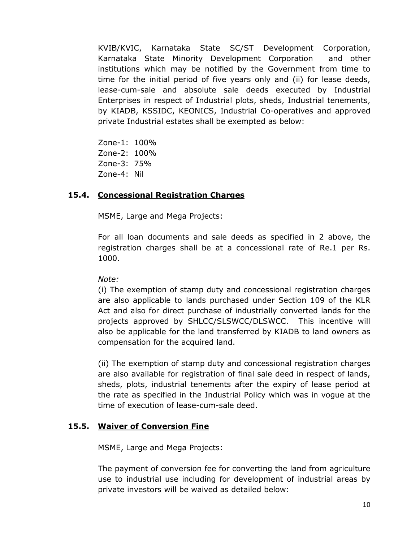KVIB/KVIC, Karnataka State SC/ST Development Corporation, Karnataka State Minority Development Corporation and other institutions which may be notified by the Government from time to time for the initial period of five years only and (ii) for lease deeds, lease-cum-sale and absolute sale deeds executed by Industrial Enterprises in respect of Industrial plots, sheds, Industrial tenements, by KIADB, KSSIDC, KEONICS, Industrial Co-operatives and approved private Industrial estates shall be exempted as below:

Zone-1: 100% Zone-2: 100% Zone-3: 75% Zone-4: Nil

#### **15.4. Concessional Registration Charges**

MSME, Large and Mega Projects:

For all loan documents and sale deeds as specified in 2 above, the registration charges shall be at a concessional rate of Re.1 per Rs. 1000.

#### *Note:*

(i) The exemption of stamp duty and concessional registration charges are also applicable to lands purchased under Section 109 of the KLR Act and also for direct purchase of industrially converted lands for the projects approved by SHLCC/SLSWCC/DLSWCC. This incentive will also be applicable for the land transferred by KIADB to land owners as compensation for the acquired land.

(ii) The exemption of stamp duty and concessional registration charges are also available for registration of final sale deed in respect of lands, sheds, plots, industrial tenements after the expiry of lease period at the rate as specified in the Industrial Policy which was in vogue at the time of execution of lease-cum-sale deed.

#### **15.5. Waiver of Conversion Fine**

MSME, Large and Mega Projects:

The payment of conversion fee for converting the land from agriculture use to industrial use including for development of industrial areas by private investors will be waived as detailed below: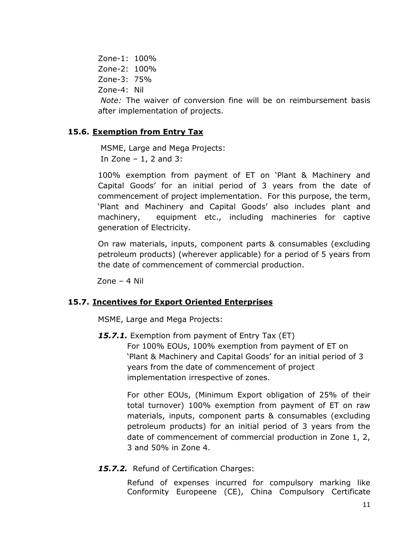Zone-1: 100% Zone-2: 100% Zone-3: 75% Zone-4: Nil

*Note:* The waiver of conversion fine will be on reimbursement basis after implementation of projects.

### **15.6. Exemption from Entry Tax**

 MSME, Large and Mega Projects: In Zone  $-1$ , 2 and 3:

100% exemption from payment of ET on 'Plant & Machinery and Capital Goods' for an initial period of 3 years from the date of commencement of project implementation. For this purpose, the term, 'Plant and Machinery and Capital Goods' also includes plant and machinery, equipment etc., including machineries for captive generation of Electricity.

On raw materials, inputs, component parts & consumables (excluding petroleum products) (wherever applicable) for a period of 5 years from the date of commencement of commercial production.

Zone – 4 Nil

#### **15.7. Incentives for Export Oriented Enterprises**

MSME, Large and Mega Projects:

15.7.1. Exemption from payment of Entry Tax (ET) For 100% EOUs, 100% exemption from payment of ET on 'Plant & Machinery and Capital Goods' for an initial period of 3 years from the date of commencement of project implementation irrespective of zones.

> For other EOUs, (Minimum Export obligation of 25% of their total turnover) 100% exemption from payment of ET on raw materials, inputs, component parts & consumables (excluding petroleum products) for an initial period of 3 years from the date of commencement of commercial production in Zone 1, 2, 3 and 50% in Zone 4.

15.7.2. Refund of Certification Charges:

Refund of expenses incurred for compulsory marking like Conformity Europeene (CE), China Compulsory Certificate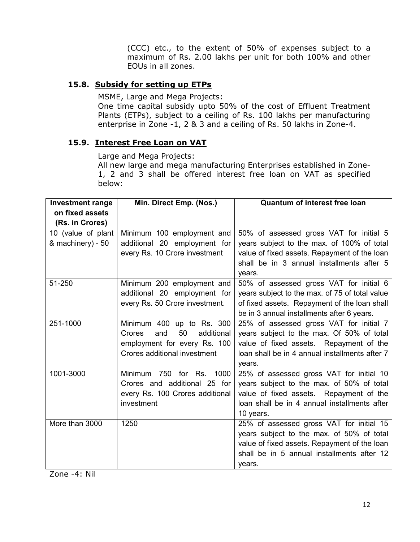(CCC) etc., to the extent of 50% of expenses subject to a maximum of Rs. 2.00 lakhs per unit for both 100% and other EOUs in all zones.

# **15.8. Subsidy for setting up ETPs**

MSME, Large and Mega Projects:

One time capital subsidy upto 50% of the cost of Effluent Treatment Plants (ETPs), subject to a ceiling of Rs. 100 lakhs per manufacturing enterprise in Zone -1, 2 & 3 and a ceiling of Rs. 50 lakhs in Zone-4.

#### **15.9. Interest Free Loan on VAT**

Large and Mega Projects:

All new large and mega manufacturing Enterprises established in Zone-1, 2 and 3 shall be offered interest free loan on VAT as specified below:

| <b>Investment range</b> | Min. Direct Emp. (Nos.)           | <b>Quantum of interest free loan</b>                |  |
|-------------------------|-----------------------------------|-----------------------------------------------------|--|
| on fixed assets         |                                   |                                                     |  |
| (Rs. in Crores)         |                                   |                                                     |  |
| 10 (value of plant      | Minimum 100 employment and        | 50% of assessed gross VAT for initial 5             |  |
| & machinery) - 50       | additional 20 employment for      | years subject to the max. of 100% of total          |  |
|                         | every Rs. 10 Crore investment     | value of fixed assets. Repayment of the loan        |  |
|                         |                                   | shall be in 3 annual installments after 5<br>years. |  |
| 51-250                  | Minimum 200 employment and        | 50% of assessed gross VAT for initial 6             |  |
|                         | additional 20 employment for      | years subject to the max. of 75 of total value      |  |
|                         | every Rs. 50 Crore investment.    | of fixed assets. Repayment of the loan shall        |  |
|                         |                                   | be in 3 annual installments after 6 years.          |  |
| 251-1000                | Minimum 400<br>up to Rs. 300      | 25% of assessed gross VAT for initial 7             |  |
|                         | 50<br>additional<br>Crores<br>and | years subject to the max. Of 50% of total           |  |
|                         | employment for every Rs. 100      | value of fixed assets. Repayment of the             |  |
|                         | Crores additional investment      | loan shall be in 4 annual installments after 7      |  |
|                         |                                   | years.                                              |  |
| 1001-3000               | Minimum<br>750<br>for Rs.<br>1000 | 25% of assessed gross VAT for initial 10            |  |
|                         | Crores and additional 25 for      | years subject to the max. of 50% of total           |  |
|                         | every Rs. 100 Crores additional   | value of fixed assets. Repayment of the             |  |
|                         | investment                        | loan shall be in 4 annual installments after        |  |
|                         |                                   | 10 years.                                           |  |
| More than 3000          | 1250                              | 25% of assessed gross VAT for initial 15            |  |
|                         |                                   | years subject to the max. of 50% of total           |  |
|                         |                                   | value of fixed assets. Repayment of the loan        |  |
|                         |                                   | shall be in 5 annual installments after 12          |  |
|                         |                                   | years.                                              |  |

Zone -4: Nil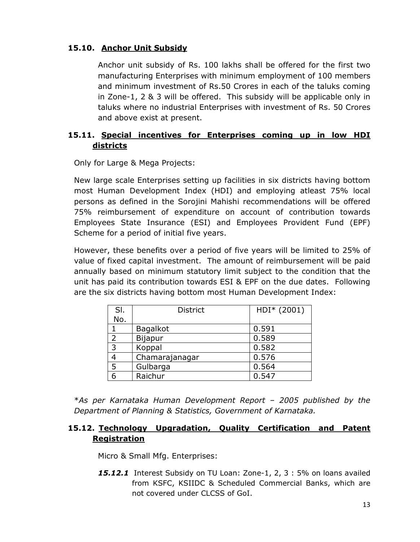# **15.10. Anchor Unit Subsidy**

Anchor unit subsidy of Rs. 100 lakhs shall be offered for the first two manufacturing Enterprises with minimum employment of 100 members and minimum investment of Rs.50 Crores in each of the taluks coming in Zone-1, 2 & 3 will be offered. This subsidy will be applicable only in taluks where no industrial Enterprises with investment of Rs. 50 Crores and above exist at present.

# **15.11. Special incentives for Enterprises coming up in low HDI districts**

Only for Large & Mega Projects:

New large scale Enterprises setting up facilities in six districts having bottom most Human Development Index (HDI) and employing atleast 75% local persons as defined in the Sorojini Mahishi recommendations will be offered 75% reimbursement of expenditure on account of contribution towards Employees State Insurance (ESI) and Employees Provident Fund (EPF) Scheme for a period of initial five years.

However, these benefits over a period of five years will be limited to 25% of value of fixed capital investment. The amount of reimbursement will be paid annually based on minimum statutory limit subject to the condition that the unit has paid its contribution towards ESI & EPF on the due dates. Following are the six districts having bottom most Human Development Index:

| SI.           | <b>District</b> | HDI* (2001) |
|---------------|-----------------|-------------|
| No.           |                 |             |
|               | <b>Bagalkot</b> | 0.591       |
| $\mathcal{P}$ | <b>Bijapur</b>  | 0.589       |
| 3             | Koppal          | 0.582       |
|               | Chamarajanagar  | 0.576       |
| 5             | Gulbarga        | 0.564       |
| 6             | Raichur         | 0.547       |

\**As per Karnataka Human Development Report – 2005 published by the Department of Planning & Statistics, Government of Karnataka.*

#### **15.12. Technology Upgradation, Quality Certification and Patent Registration**

Micro & Small Mfg. Enterprises:

*15.12.1* Interest Subsidy on TU Loan: Zone-1, 2, 3 : 5% on loans availed from KSFC, KSIIDC & Scheduled Commercial Banks, which are not covered under CLCSS of GoI.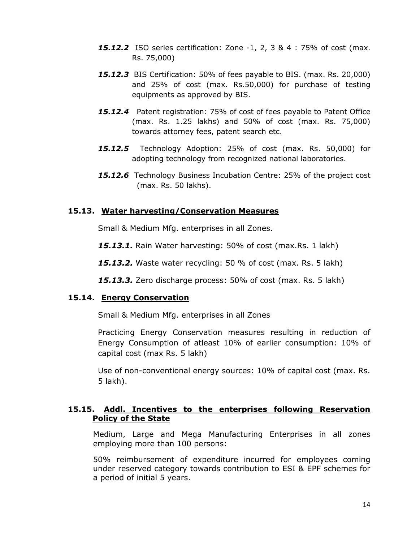- *15.12.2* ISO series certification: Zone -1, 2, 3 & 4 : 75% of cost (max. Rs. 75,000)
- *15.12.3* BIS Certification: 50% of fees payable to BIS. (max. Rs. 20,000) and 25% of cost (max. Rs.50,000) for purchase of testing equipments as approved by BIS.
- *15.12.4* Patent registration: 75% of cost of fees payable to Patent Office (max. Rs. 1.25 lakhs) and 50% of cost (max. Rs. 75,000) towards attorney fees, patent search etc.
- *15.12.5* Technology Adoption: 25% of cost (max. Rs. 50,000) for adopting technology from recognized national laboratories.
- *15.12.6* Technology Business Incubation Centre: 25% of the project cost (max. Rs. 50 lakhs).

#### **15.13. Water harvesting/Conservation Measures**

Small & Medium Mfg. enterprises in all Zones.

*15.13.1.* Rain Water harvesting: 50% of cost (max.Rs. 1 lakh)

*15.13.2.* Waste water recycling: 50 % of cost (max. Rs. 5 lakh)

*15.13.3.* Zero discharge process: 50% of cost (max. Rs. 5 lakh)

#### **15.14. Energy Conservation**

Small & Medium Mfg. enterprises in all Zones

Practicing Energy Conservation measures resulting in reduction of Energy Consumption of atleast 10% of earlier consumption: 10% of capital cost (max Rs. 5 lakh)

Use of non-conventional energy sources: 10% of capital cost (max. Rs. 5 lakh).

#### **15.15. Addl. Incentives to the enterprises following Reservation Policy of the State**

Medium, Large and Mega Manufacturing Enterprises in all zones employing more than 100 persons:

50% reimbursement of expenditure incurred for employees coming under reserved category towards contribution to ESI & EPF schemes for a period of initial 5 years.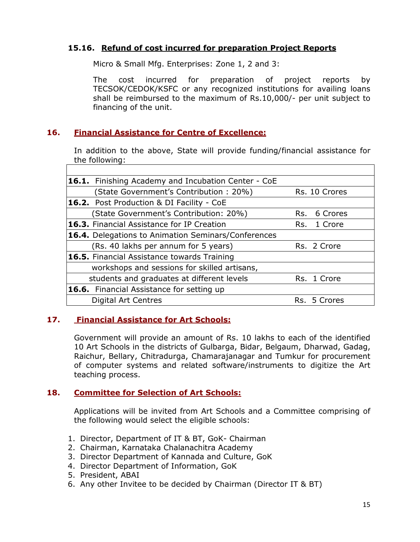#### **15.16. Refund of cost incurred for preparation Project Reports**

Micro & Small Mfg. Enterprises: Zone 1, 2 and 3:

The cost incurred for preparation of project reports by TECSOK/CEDOK/KSFC or any recognized institutions for availing loans shall be reimbursed to the maximum of Rs.10,000/- per unit subject to financing of the unit.

#### **16. Financial Assistance for Centre of Excellence:**

In addition to the above, State will provide funding/financial assistance for the following:

| <b>16.1.</b> Finishing Academy and Incubation Center - CoE |     |               |
|------------------------------------------------------------|-----|---------------|
| (State Government's Contribution: 20%)                     |     | Rs. 10 Crores |
| 16.2. Post Production & DI Facility - CoE                  |     |               |
| (State Government's Contribution: 20%)                     | Rs. | 6 Crores      |
| <b>16.3.</b> Financial Assistance for IP Creation          |     | Rs. 1 Crore   |
| <b>16.4.</b> Delegations to Animation Seminars/Conferences |     |               |
| (Rs. 40 lakhs per annum for 5 years)                       |     | Rs. 2 Crore   |
| <b>16.5.</b> Financial Assistance towards Training         |     |               |
| workshops and sessions for skilled artisans,               |     |               |
| students and graduates at different levels                 |     | Rs. 1 Crore   |
| <b>16.6.</b> Financial Assistance for setting up           |     |               |
| <b>Digital Art Centres</b>                                 |     | Rs. 5 Crores  |
|                                                            |     |               |

#### **17. Financial Assistance for Art Schools:**

Government will provide an amount of Rs. 10 lakhs to each of the identified 10 Art Schools in the districts of Gulbarga, Bidar, Belgaum, Dharwad, Gadag, Raichur, Bellary, Chitradurga, Chamarajanagar and Tumkur for procurement of computer systems and related software/instruments to digitize the Art teaching process.

#### **18. Committee for Selection of Art Schools:**

Applications will be invited from Art Schools and a Committee comprising of the following would select the eligible schools:

- 1. Director, Department of IT & BT, GoK- Chairman
- 2. Chairman, Karnataka Chalanachitra Academy
- 3. Director Department of Kannada and Culture, GoK
- 4. Director Department of Information, GoK
- 5. President, ABAI
- 6. Any other Invitee to be decided by Chairman (Director IT & BT)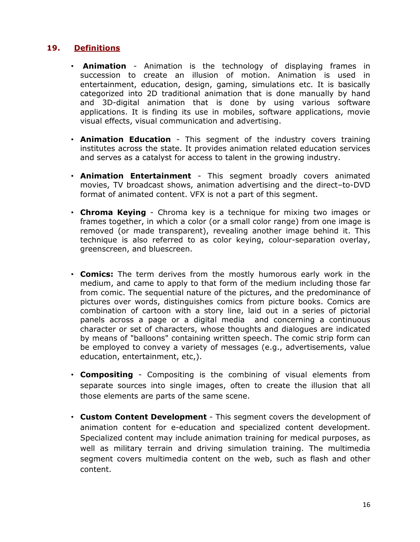### **19. Definitions**

- **Animation** Animation is the technology of displaying frames in succession to create an illusion of motion. Animation is used in entertainment, education, design, gaming, simulations etc. It is basically categorized into 2D traditional animation that is done manually by hand and 3D-digital animation that is done by using various software applications. It is finding its use in mobiles, software applications, movie visual effects, visual communication and advertising.
- **Animation Education** This segment of the industry covers training institutes across the state. It provides animation related education services and serves as a catalyst for access to talent in the growing industry.
- **Animation Entertainment** This segment broadly covers animated movies, TV broadcast shows, animation advertising and the direct–to-DVD format of animated content. VFX is not a part of this segment.
- **Chroma Keying** Chroma key is a technique for mixing two images or frames together, in which a color (or a small color range) from one image is removed (or made transparent), revealing another image behind it. This technique is also referred to as color keying, colour-separation overlay, greenscreen, and bluescreen.
- **Comics:** The term derives from the mostly humorous early work in the medium, and came to apply to that form of the medium including those far from comic. The sequential nature of the pictures, and the predominance of pictures over words, distinguishes comics from picture books. Comics are combination of cartoon with a story line, laid out in a series of pictorial panels across a page or a digital media and concerning a continuous character or set of characters, whose thoughts and dialogues are indicated by means of "balloons" containing written speech. The comic strip form can be employed to convey a variety of messages (e.g., advertisements, value education, entertainment, etc,).
- **Compositing** Compositing is the combining of visual elements from separate sources into single images, often to create the illusion that all those elements are parts of the same scene.
- **Custom Content Development** This segment covers the development of animation content for e-education and specialized content development. Specialized content may include animation training for medical purposes, as well as military terrain and driving simulation training. The multimedia segment covers multimedia content on the web, such as flash and other content.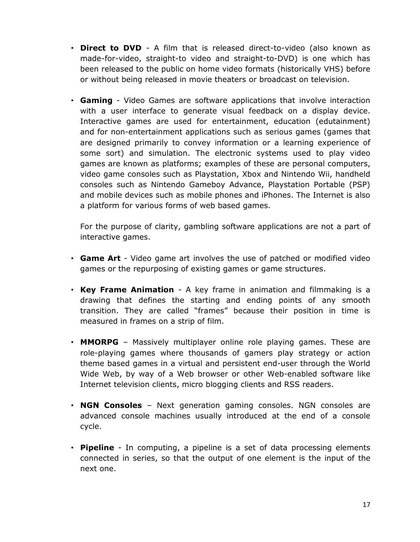- **Direct to DVD** A film that is released direct-to-video (also known as made-for-video, straight-to video and straight-to-DVD) is one which has been released to the public on home video formats (historically VHS) before or without being released in movie theaters or broadcast on television.
- **Gaming** Video Games are software applications that involve interaction with a user interface to generate visual feedback on a display device. Interactive games are used for entertainment, education (edutainment) and for non-entertainment applications such as serious games (games that are designed primarily to convey information or a learning experience of some sort) and simulation. The electronic systems used to play video games are known as platforms; examples of these are personal computers, video game consoles such as Playstation, Xbox and Nintendo Wii, handheld consoles such as Nintendo Gameboy Advance, Playstation Portable (PSP) and mobile devices such as mobile phones and iPhones. The Internet is also a platform for various forms of web based games.

For the purpose of clarity, gambling software applications are not a part of interactive games.

- **Game Art** Video game art involves the use of patched or modified video games or the repurposing of existing games or game structures.
- **Key Frame Animation** A key frame in animation and filmmaking is a drawing that defines the starting and ending points of any smooth transition. They are called "frames" because their position in time is measured in frames on a strip of film.
- **MMORPG** Massively multiplayer online role playing games. These are role-playing games where thousands of gamers play strategy or action theme based games in a virtual and persistent end-user through the World Wide Web, by way of a Web browser or other Web-enabled software like Internet television clients, micro blogging clients and RSS readers.
- **NGN Consoles** Next generation gaming consoles. NGN consoles are advanced console machines usually introduced at the end of a console cycle.
- **Pipeline** In computing, a pipeline is a set of data processing elements connected in series, so that the output of one element is the input of the next one.